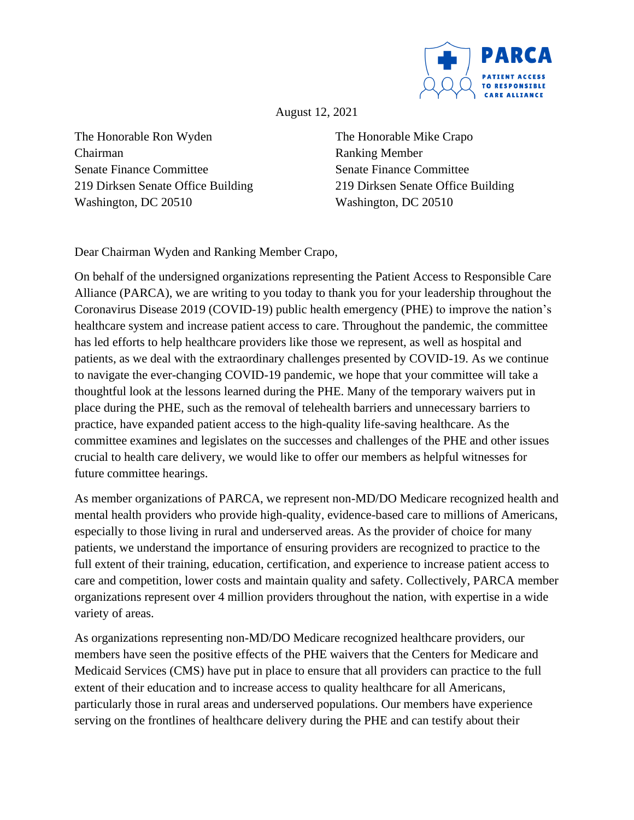

August 12, 2021

The Honorable Ron Wyden Chairman Senate Finance Committee 219 Dirksen Senate Office Building Washington, DC 20510

The Honorable Mike Crapo Ranking Member Senate Finance Committee 219 Dirksen Senate Office Building Washington, DC 20510

Dear Chairman Wyden and Ranking Member Crapo,

On behalf of the undersigned organizations representing the Patient Access to Responsible Care Alliance (PARCA), we are writing to you today to thank you for your leadership throughout the Coronavirus Disease 2019 (COVID-19) public health emergency (PHE) to improve the nation's healthcare system and increase patient access to care. Throughout the pandemic, the committee has led efforts to help healthcare providers like those we represent, as well as hospital and patients, as we deal with the extraordinary challenges presented by COVID-19. As we continue to navigate the ever-changing COVID-19 pandemic, we hope that your committee will take a thoughtful look at the lessons learned during the PHE. Many of the temporary waivers put in place during the PHE, such as the removal of telehealth barriers and unnecessary barriers to practice, have expanded patient access to the high-quality life-saving healthcare. As the committee examines and legislates on the successes and challenges of the PHE and other issues crucial to health care delivery, we would like to offer our members as helpful witnesses for future committee hearings.

As member organizations of PARCA, we represent non-MD/DO Medicare recognized health and mental health providers who provide high-quality, evidence-based care to millions of Americans, especially to those living in rural and underserved areas. As the provider of choice for many patients, we understand the importance of ensuring providers are recognized to practice to the full extent of their training, education, certification, and experience to increase patient access to care and competition, lower costs and maintain quality and safety. Collectively, PARCA member organizations represent over 4 million providers throughout the nation, with expertise in a wide variety of areas.

As organizations representing non-MD/DO Medicare recognized healthcare providers, our members have seen the positive effects of the PHE waivers that the Centers for Medicare and Medicaid Services (CMS) have put in place to ensure that all providers can practice to the full extent of their education and to increase access to quality healthcare for all Americans, particularly those in rural areas and underserved populations. Our members have experience serving on the frontlines of healthcare delivery during the PHE and can testify about their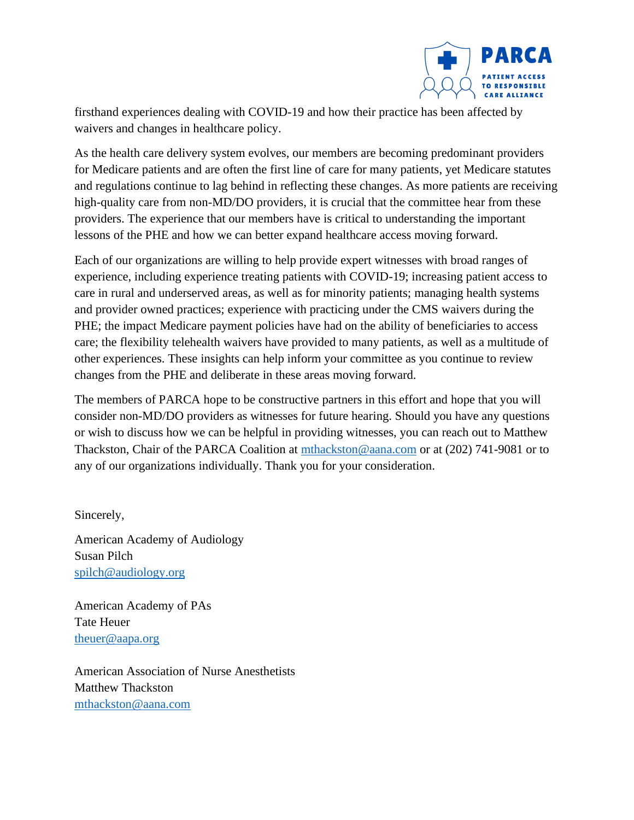

firsthand experiences dealing with COVID-19 and how their practice has been affected by waivers and changes in healthcare policy.

As the health care delivery system evolves, our members are becoming predominant providers for Medicare patients and are often the first line of care for many patients, yet Medicare statutes and regulations continue to lag behind in reflecting these changes. As more patients are receiving high-quality care from non-MD/DO providers, it is crucial that the committee hear from these providers. The experience that our members have is critical to understanding the important lessons of the PHE and how we can better expand healthcare access moving forward.

Each of our organizations are willing to help provide expert witnesses with broad ranges of experience, including experience treating patients with COVID-19; increasing patient access to care in rural and underserved areas, as well as for minority patients; managing health systems and provider owned practices; experience with practicing under the CMS waivers during the PHE; the impact Medicare payment policies have had on the ability of beneficiaries to access care; the flexibility telehealth waivers have provided to many patients, as well as a multitude of other experiences. These insights can help inform your committee as you continue to review changes from the PHE and deliberate in these areas moving forward.

The members of PARCA hope to be constructive partners in this effort and hope that you will consider non-MD/DO providers as witnesses for future hearing. Should you have any questions or wish to discuss how we can be helpful in providing witnesses, you can reach out to Matthew Thackston, Chair of the PARCA Coalition at [mthackston@aana.com](mailto:mthackston@aana.com) or at (202) 741-9081 or to any of our organizations individually. Thank you for your consideration.

Sincerely,

American Academy of Audiology Susan Pilch [spilch@audiology.org](mailto:spilch@audiology.org)

American Academy of PAs Tate Heuer [theuer@aapa.org](mailto:theuer@aapa.org)

American Association of Nurse Anesthetists Matthew Thackston [mthackston@aana.com](mailto:mthackston@aana.com)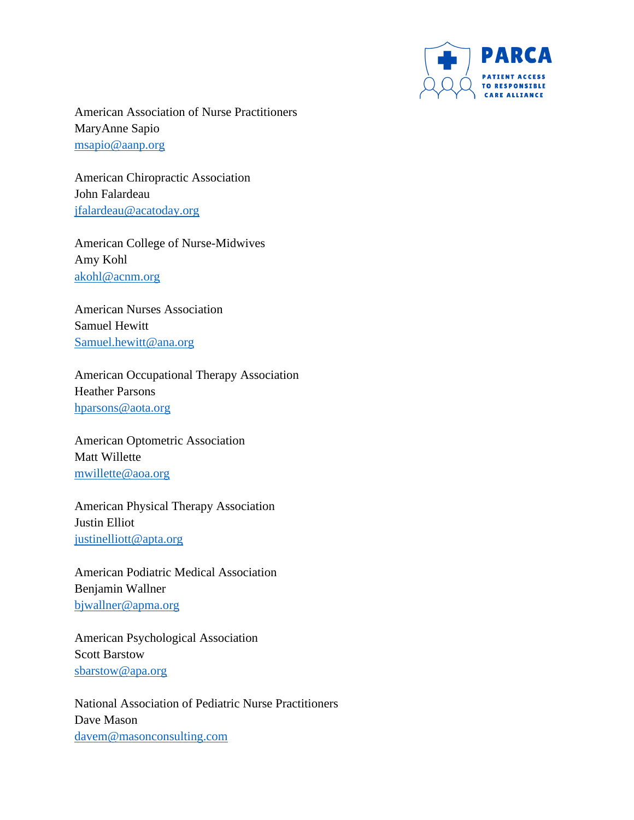

American Association of Nurse Practitioners MaryAnne Sapio [msapio@aanp.org](mailto:msapio@aanp.org)

American Chiropractic Association John Falardeau [jfalardeau@acatoday.org](mailto:jfalardeau@acatoday.org) 

American College of Nurse-Midwives Amy Kohl [akohl@acnm.org](mailto:akohl@acnm.org) 

American Nurses Association Samuel Hewitt [Samuel.hewitt@ana.org](mailto:Samuel.hewitt@ana.org)

American Occupational Therapy Association Heather Parsons [hparsons@aota.org](mailto:hparsons@aota.org)

American Optometric Association Matt Willette [mwillette@aoa.org](mailto:mwillette@aoa.org)

American Physical Therapy Association Justin Elliot [justinelliott@apta.org](mailto:justinelliott@apta.org)

American Podiatric Medical Association Benjamin Wallner [bjwallner@apma.org](mailto:bjwallner@apma.org)

American Psychological Association Scott Barstow [sbarstow@apa.org](mailto:sbarstow@apa.org)

National Association of Pediatric Nurse Practitioners Dave Mason [davem@masonconsulting.com](mailto:davem@masonconsulting.com)